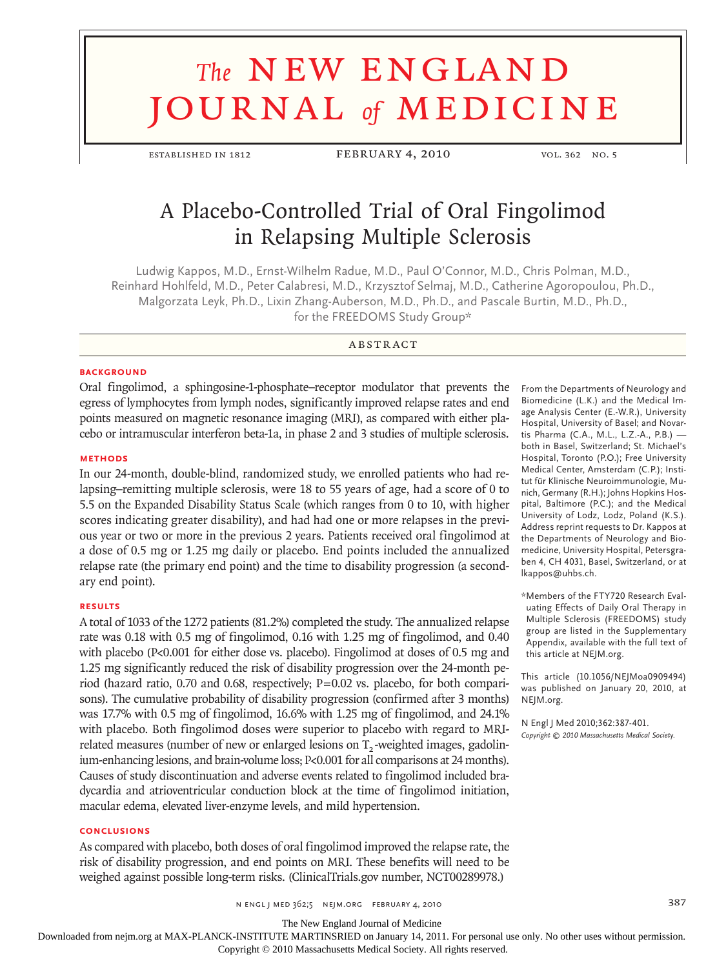# **The NEW ENGLAND** journal *of* medicine

ESTABLISHED IN 1812 FEBRUARY 4, 2010 VOL. 362 NO. 5

# A Placebo-Controlled Trial of Oral Fingolimod in Relapsing Multiple Sclerosis

Ludwig Kappos, M.D., Ernst-Wilhelm Radue, M.D., Paul O'Connor, M.D., Chris Polman, M.D., Reinhard Hohlfeld, M.D., Peter Calabresi, M.D., Krzysztof Selmaj, M.D., Catherine Agoropoulou, Ph.D., Malgorzata Leyk, Ph.D., Lixin Zhang-Auberson, M.D., Ph.D., and Pascale Burtin, M.D., Ph.D., for the FREEDOMS Study Group\*

#### **ABSTRACT**

#### **BACKGROUND**

Oral fingolimod, a sphingosine-1-phosphate–receptor modulator that prevents the egress of lymphocytes from lymph nodes, significantly improved relapse rates and end points measured on magnetic resonance imaging (MRI), as compared with either placebo or intramuscular interferon beta-1a, in phase 2 and 3 studies of multiple sclerosis.

#### **Methods**

In our 24-month, double-blind, randomized study, we enrolled patients who had relapsing–remitting multiple sclerosis, were 18 to 55 years of age, had a score of 0 to 5.5 on the Expanded Disability Status Scale (which ranges from 0 to 10, with higher scores indicating greater disability), and had had one or more relapses in the previous year or two or more in the previous 2 years. Patients received oral fingolimod at a dose of 0.5 mg or 1.25 mg daily or placebo. End points included the annualized relapse rate (the primary end point) and the time to disability progression (a secondary end point).

#### **Results**

A total of 1033 of the 1272 patients (81.2%) completed the study. The annualized relapse rate was 0.18 with 0.5 mg of fingolimod, 0.16 with 1.25 mg of fingolimod, and 0.40 with placebo (P<0.001 for either dose vs. placebo). Fingolimod at doses of 0.5 mg and 1.25 mg significantly reduced the risk of disability progression over the 24-month period (hazard ratio, 0.70 and 0.68, respectively; P=0.02 vs. placebo, for both comparisons). The cumulative probability of disability progression (confirmed after 3 months) was 17.7% with 0.5 mg of fingolimod, 16.6% with 1.25 mg of fingolimod, and 24.1% with placebo. Both fingolimod doses were superior to placebo with regard to MRIrelated measures (number of new or enlarged lesions on  $T<sub>2</sub>$ -weighted images, gadolinium-enhancing lesions, and brain-volume loss; P<0.001 for all comparisons at 24 months). Causes of study discontinuation and adverse events related to fingolimod included bradycardia and atrioventricular conduction block at the time of fingolimod initiation, macular edema, elevated liver-enzyme levels, and mild hypertension.

#### **Conclusions**

As compared with placebo, both doses of oral fingolimod improved the relapse rate, the risk of disability progression, and end points on MRI. These benefits will need to be weighed against possible long-term risks. (ClinicalTrials.gov number, NCT00289978.)

From the Departments of Neurology and Biomedicine (L.K.) and the Medical Image Analysis Center (E.-W.R.), University Hospital, University of Basel; and Novartis Pharma (C.A., M.L., L.Z.-A., P.B.) both in Basel, Switzerland; St. Michael's Hospital, Toronto (P.O.); Free University Medical Center, Amsterdam (C.P.); Institut für Klinische Neuroimmunologie, Munich, Germany (R.H.); Johns Hopkins Hospital, Baltimore (P.C.); and the Medical University of Lodz, Lodz, Poland (K.S.). Address reprint requests to Dr. Kappos at the Departments of Neurology and Biomedicine, University Hospital, Petersgraben 4, CH 4031, Basel, Switzerland, or at lkappos@uhbs.ch.

\*Members of the FTY720 Research Evaluating Effects of Daily Oral Therapy in Multiple Sclerosis (FREEDOMS) study group are listed in the Supplementary Appendix, available with the full text of this article at NEJM.org.

This article (10.1056/NEJMoa0909494) was published on January 20, 2010, at NEJM.org.

N Engl J Med 2010;362:387-401. *Copyright © 2010 Massachusetts Medical Society.*

n engl j med 362;5 nejm.org february 4, 2010 387

The New England Journal of Medicine

Downloaded from nejm.org at MAX-PLANCK-INSTITUTE MARTINSRIED on January 14, 2011. For personal use only. No other uses without permission.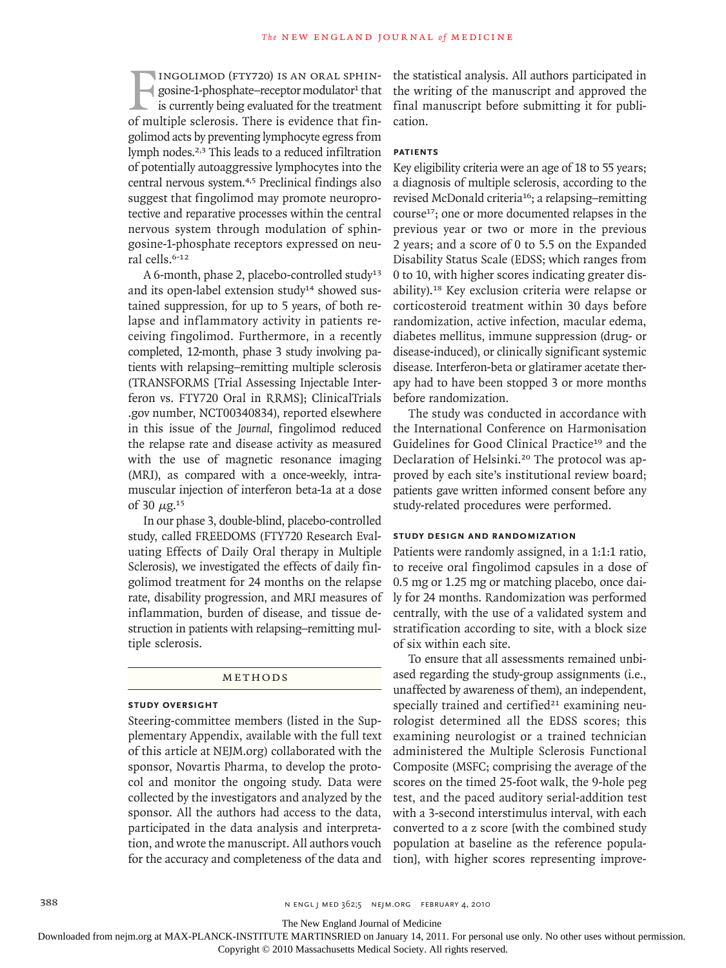INGOLIMOD (FTY720) IS AN ORAL SPHINgosine-1-phosphate–receptor modulator<sup>1</sup> that is currently being evaluated for the treatment of multiple sclerosis. There is evidence that finingolimod (fty720) is an oral sphin $gosine-1-phosphate–receptor modulator<sup>1</sup> that$ is currently being evaluated for the treatment golimod acts by preventing lymphocyte egress from lymph nodes.2,3 This leads to a reduced infiltration of potentially autoaggressive lymphocytes into the central nervous system.4,5 Preclinical findings also suggest that fingolimod may promote neuroprotective and reparative processes within the central nervous system through modulation of sphingosine-1-phosphate receptors expressed on neural cells.6-12

A 6-month, phase 2, placebo-controlled study<sup>13</sup> and its open-label extension study<sup>14</sup> showed sustained suppression, for up to 5 years, of both relapse and inflammatory activity in patients receiving fingolimod. Furthermore, in a recently completed, 12-month, phase 3 study involving patients with relapsing–remitting multiple sclerosis (TRANSFORMS [Trial Assessing Injectable Interferon vs. FTY720 Oral in RRMS]; ClinicalTrials .gov number, NCT00340834), reported elsewhere in this issue of the *Journal*, fingolimod reduced the relapse rate and disease activity as measured with the use of magnetic resonance imaging (MRI), as compared with a once-weekly, intramuscular injection of interferon beta-1a at a dose of 30  $\mu$ g.<sup>15</sup>

In our phase 3, double-blind, placebo-controlled study, called FREEDOMS (FTY720 Research Evaluating Effects of Daily Oral therapy in Multiple Sclerosis), we investigated the effects of daily fingolimod treatment for 24 months on the relapse rate, disability progression, and MRI measures of inflammation, burden of disease, and tissue destruction in patients with relapsing–remitting multiple sclerosis.

#### Methods

#### **Study Oversight**

Steering-committee members (listed in the Supplementary Appendix, available with the full text of this article at NEJM.org) collaborated with the sponsor, Novartis Pharma, to develop the protocol and monitor the ongoing study. Data were collected by the investigators and analyzed by the sponsor. All the authors had access to the data, participated in the data analysis and interpretation, and wrote the manuscript. All authors vouch for the accuracy and completeness of the data and

the statistical analysis. All authors participated in the writing of the manuscript and approved the final manuscript before submitting it for publication.

#### **Patients**

Key eligibility criteria were an age of 18 to 55 years; a diagnosis of multiple sclerosis, according to the revised McDonald criteria<sup>16</sup>; a relapsing-remitting course17; one or more documented relapses in the previous year or two or more in the previous 2 years; and a score of 0 to 5.5 on the Expanded Disability Status Scale (EDSS; which ranges from 0 to 10, with higher scores indicating greater disability).18 Key exclusion criteria were relapse or corticosteroid treatment within 30 days before randomization, active infection, macular edema, diabetes mellitus, immune suppression (drug- or disease-induced), or clinically significant systemic disease. Interferon-beta or glatiramer acetate therapy had to have been stopped 3 or more months before randomization.

The study was conducted in accordance with the International Conference on Harmonisation Guidelines for Good Clinical Practice<sup>19</sup> and the Declaration of Helsinki.20 The protocol was approved by each site's institutional review board; patients gave written informed consent before any study-related procedures were performed.

#### **Study Design and Randomization**

Patients were randomly assigned, in a 1:1:1 ratio, to receive oral fingolimod capsules in a dose of 0.5 mg or 1.25 mg or matching placebo, once daily for 24 months. Randomization was performed centrally, with the use of a validated system and stratification according to site, with a block size of six within each site.

To ensure that all assessments remained unbiased regarding the study-group assignments (i.e., unaffected by awareness of them), an independent, specially trained and certified $21$  examining neurologist determined all the EDSS scores; this examining neurologist or a trained technician administered the Multiple Sclerosis Functional Composite (MSFC; comprising the average of the scores on the timed 25-foot walk, the 9-hole peg test, and the paced auditory serial-addition test with a 3-second interstimulus interval, with each converted to a z score [with the combined study population at baseline as the reference population], with higher scores representing improve-

The New England Journal of Medicine

Downloaded from nejm.org at MAX-PLANCK-INSTITUTE MARTINSRIED on January 14, 2011. For personal use only. No other uses without permission.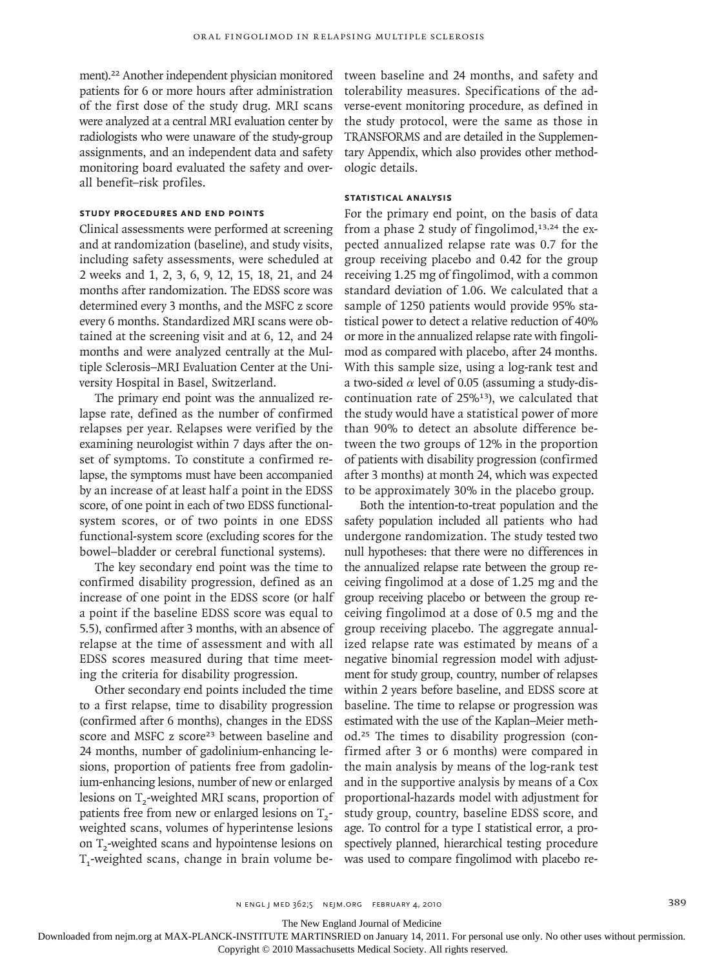ment).22 Another independent physician monitored patients for 6 or more hours after administration of the first dose of the study drug. MRI scans were analyzed at a central MRI evaluation center by radiologists who were unaware of the study-group assignments, and an independent data and safety monitoring board evaluated the safety and overall benefit–risk profiles.

#### **Study Procedures and End Points**

Clinical assessments were performed at screening and at randomization (baseline), and study visits, including safety assessments, were scheduled at 2 weeks and 1, 2, 3, 6, 9, 12, 15, 18, 21, and 24 months after randomization. The EDSS score was determined every 3 months, and the MSFC z score every 6 months. Standardized MRI scans were obtained at the screening visit and at 6, 12, and 24 months and were analyzed centrally at the Multiple Sclerosis–MRI Evaluation Center at the University Hospital in Basel, Switzerland.

The primary end point was the annualized relapse rate, defined as the number of confirmed relapses per year. Relapses were verified by the examining neurologist within 7 days after the onset of symptoms. To constitute a confirmed relapse, the symptoms must have been accompanied by an increase of at least half a point in the EDSS score, of one point in each of two EDSS functionalsystem scores, or of two points in one EDSS functional-system score (excluding scores for the bowel–bladder or cerebral functional systems).

The key secondary end point was the time to confirmed disability progression, defined as an increase of one point in the EDSS score (or half a point if the baseline EDSS score was equal to 5.5), confirmed after 3 months, with an absence of relapse at the time of assessment and with all EDSS scores measured during that time meeting the criteria for disability progression.

Other secondary end points included the time to a first relapse, time to disability progression (confirmed after 6 months), changes in the EDSS score and MSFC z score<sup>23</sup> between baseline and 24 months, number of gadolinium-enhancing lesions, proportion of patients free from gadolinium-enhancing lesions, number of new or enlarged lesions on T<sub>2</sub>-weighted MRI scans, proportion of patients free from new or enlarged lesions on  $T_2$ weighted scans, volumes of hyperintense lesions on  $T<sub>2</sub>$ -weighted scans and hypointense lesions on  $T_1$ -weighted scans, change in brain volume between baseline and 24 months, and safety and tolerability measures. Specifications of the adverse-event monitoring procedure, as defined in the study protocol, were the same as those in TRANSFORMS and are detailed in the Supplementary Appendix, which also provides other methodologic details.

## **Statistical Analysis**

For the primary end point, on the basis of data from a phase 2 study of fingolimod, $13,24$  the expected annualized relapse rate was 0.7 for the group receiving placebo and 0.42 for the group receiving 1.25 mg of fingolimod, with a common standard deviation of 1.06. We calculated that a sample of 1250 patients would provide 95% statistical power to detect a relative reduction of 40% or more in the annualized relapse rate with fingolimod as compared with placebo, after 24 months. With this sample size, using a log-rank test and a two-sided  $\alpha$  level of 0.05 (assuming a study-discontinuation rate of 25%13), we calculated that the study would have a statistical power of more than 90% to detect an absolute difference between the two groups of 12% in the proportion of patients with disability progression (confirmed after 3 months) at month 24, which was expected to be approximately 30% in the placebo group.

Both the intention-to-treat population and the safety population included all patients who had undergone randomization. The study tested two null hypotheses: that there were no differences in the annualized relapse rate between the group receiving fingolimod at a dose of 1.25 mg and the group receiving placebo or between the group receiving fingolimod at a dose of 0.5 mg and the group receiving placebo. The aggregate annualized relapse rate was estimated by means of a negative binomial regression model with adjustment for study group, country, number of relapses within 2 years before baseline, and EDSS score at baseline. The time to relapse or progression was estimated with the use of the Kaplan–Meier method.25 The times to disability progression (confirmed after 3 or 6 months) were compared in the main analysis by means of the log-rank test and in the supportive analysis by means of a Cox proportional-hazards model with adjustment for study group, country, baseline EDSS score, and age. To control for a type I statistical error, a prospectively planned, hierarchical testing procedure was used to compare fingolimod with placebo re-

The New England Journal of Medicine

Downloaded from nejm.org at MAX-PLANCK-INSTITUTE MARTINSRIED on January 14, 2011. For personal use only. No other uses without permission.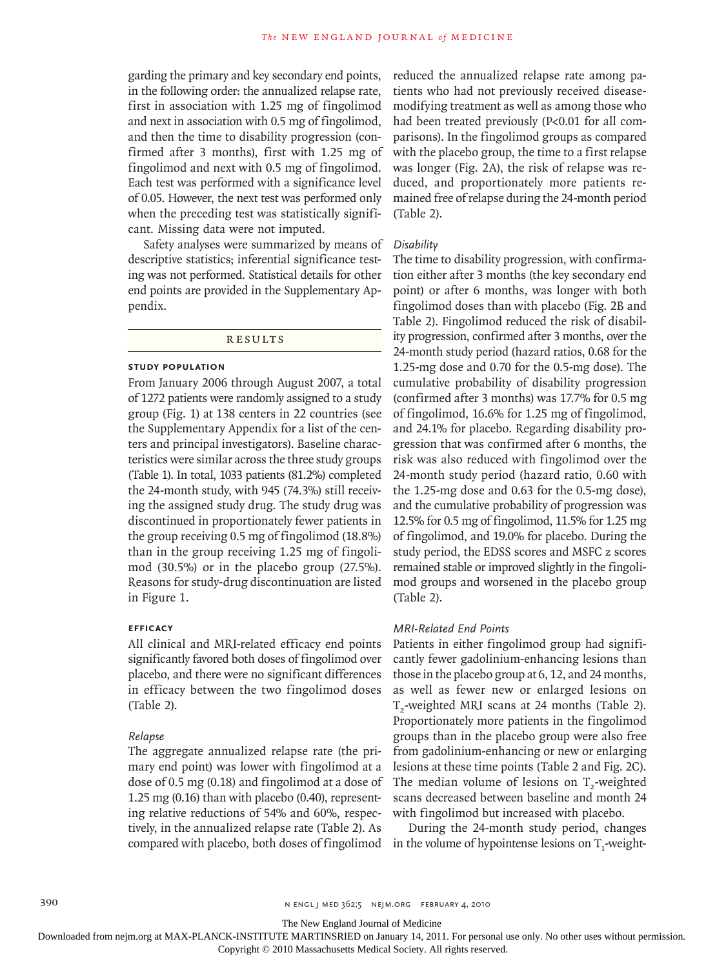garding the primary and key secondary end points, in the following order: the annualized relapse rate, first in association with 1.25 mg of fingolimod and next in association with 0.5 mg of fingolimod, and then the time to disability progression (confirmed after 3 months), first with 1.25 mg of fingolimod and next with 0.5 mg of fingolimod. Each test was performed with a significance level of 0.05. However, the next test was performed only when the preceding test was statistically significant. Missing data were not imputed.

Safety analyses were summarized by means of descriptive statistics; inferential significance testing was not performed. Statistical details for other end points are provided in the Supplementary Appendix.

**RESULTS** 

#### **Study Population**

From January 2006 through August 2007, a total of 1272 patients were randomly assigned to a study group (Fig. 1) at 138 centers in 22 countries (see the Supplementary Appendix for a list of the centers and principal investigators). Baseline characteristics were similar across the three study groups (Table 1). In total, 1033 patients (81.2%) completed the 24-month study, with 945 (74.3%) still receiving the assigned study drug. The study drug was discontinued in proportionately fewer patients in the group receiving 0.5 mg of fingolimod (18.8%) than in the group receiving 1.25 mg of fingolimod (30.5%) or in the placebo group (27.5%). Reasons for study-drug discontinuation are listed in Figure 1.

#### **Efficacy**

All clinical and MRI-related efficacy end points significantly favored both doses of fingolimod over placebo, and there were no significant differences in efficacy between the two fingolimod doses (Table 2).

#### *Relapse*

The aggregate annualized relapse rate (the primary end point) was lower with fingolimod at a dose of 0.5 mg (0.18) and fingolimod at a dose of 1.25 mg (0.16) than with placebo (0.40), representing relative reductions of 54% and 60%, respectively, in the annualized relapse rate (Table 2). As compared with placebo, both doses of fingolimod in the volume of hypointense lesions on  $T_1$ -weight-

reduced the annualized relapse rate among patients who had not previously received diseasemodifying treatment as well as among those who had been treated previously (P<0.01 for all comparisons). In the fingolimod groups as compared with the placebo group, the time to a first relapse was longer (Fig. 2A), the risk of relapse was reduced, and proportionately more patients remained free of relapse during the 24-month period (Table 2).

#### *Disability*

The time to disability progression, with confirmation either after 3 months (the key secondary end point) or after 6 months, was longer with both fingolimod doses than with placebo (Fig. 2B and Table 2). Fingolimod reduced the risk of disability progression, confirmed after 3 months, over the 24-month study period (hazard ratios, 0.68 for the 1.25-mg dose and 0.70 for the 0.5-mg dose). The cumulative probability of disability progression (confirmed after 3 months) was 17.7% for 0.5 mg of fingolimod, 16.6% for 1.25 mg of fingolimod, and 24.1% for placebo. Regarding disability progression that was confirmed after 6 months, the risk was also reduced with fingolimod over the 24-month study period (hazard ratio, 0.60 with the 1.25-mg dose and 0.63 for the 0.5-mg dose), and the cumulative probability of progression was 12.5% for 0.5 mg of fingolimod, 11.5% for 1.25 mg of fingolimod, and 19.0% for placebo. During the study period, the EDSS scores and MSFC z scores remained stable or improved slightly in the fingolimod groups and worsened in the placebo group (Table 2).

#### *MRI-Related End Points*

Patients in either fingolimod group had significantly fewer gadolinium-enhancing lesions than those in the placebo group at 6, 12, and 24 months, as well as fewer new or enlarged lesions on T<sub>2</sub>-weighted MRI scans at 24 months (Table 2). Proportionately more patients in the fingolimod groups than in the placebo group were also free from gadolinium-enhancing or new or enlarging lesions at these time points (Table 2 and Fig. 2C). The median volume of lesions on  $T<sub>2</sub>$ -weighted scans decreased between baseline and month 24 with fingolimod but increased with placebo.

During the 24-month study period, changes

The New England Journal of Medicine

Downloaded from nejm.org at MAX-PLANCK-INSTITUTE MARTINSRIED on January 14, 2011. For personal use only. No other uses without permission.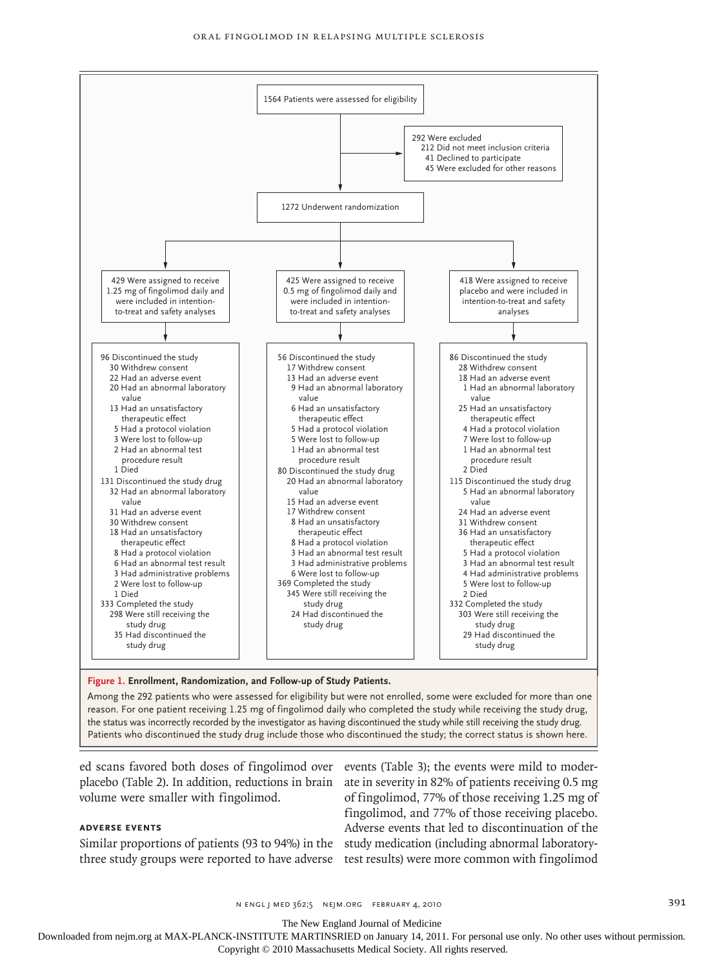

#### **Figure 1. Enrollment, Randomization, and Follow-up of Study Patients.**

FIGURE:

1 of 2

study drug include those who discontinued the study: the Patients who discontinued the study drug include those who discontinued the study; the correct status is shown here. Among the 292 patients who were assessed for eligibility but were not enrolled, some were excluded for more than one reason. For one patient receiving 1.25 mg of fingolimod daily who completed the study while receiving the study drug, the status was incorrectly recorded by the investigator as having discontinued the study while still receiving the study drug.

ed scans favored both doses of fingolimod over events (Table 3); the events were mild to moderparties (called 2). In addition, conditional  $\overline{C}$ 

# **Adverse Events**

three study groups were reported to have adverse test results) were more common with fingolimod

placebo (Table 2). In addition, reductions in brain ate in severity in 82% of patients receiving 0.5 mg Similar proportions of patients (93 to 94%) in the study medication (including abnormal laboratoryof fingolimod, 77% of those receiving 1.25 mg of fingolimod, and 77% of those receiving placebo. Adverse events that led to discontinuation of the

3rd

n engl j med 362;5 nejm.org february 4, 2010 391

The New England Journal of Medicine

Downloaded from nejm.org at MAX-PLANCK-INSTITUTE MARTINSRIED on January 14, 2011. For personal use only. No other uses without permission.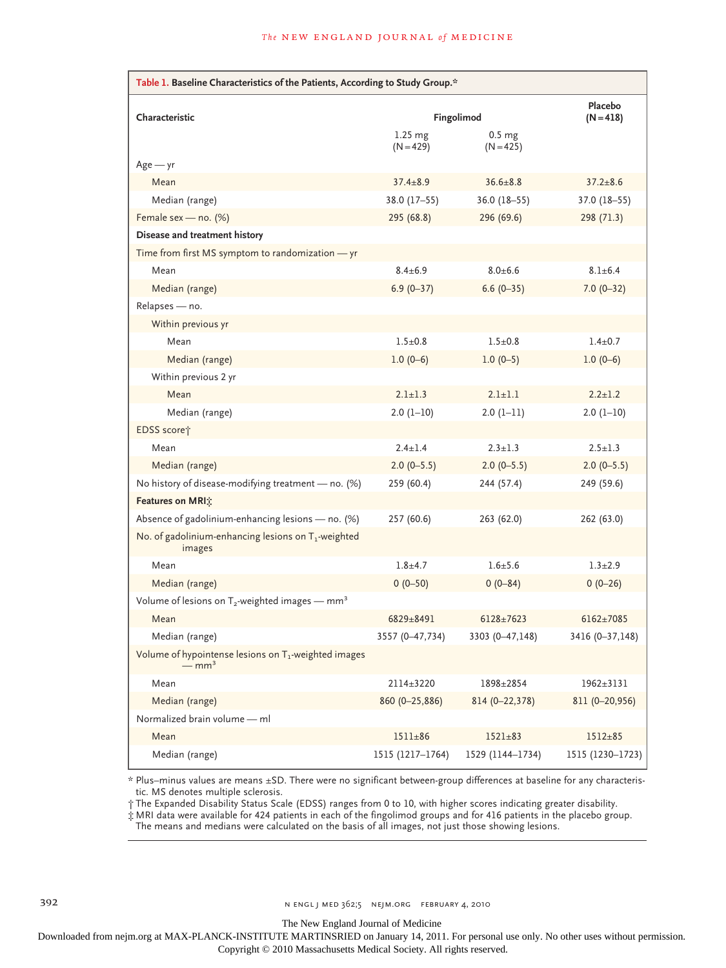| Table 1. Baseline Characteristics of the Patients, According to Study Group.* |                          |                                  |                  |
|-------------------------------------------------------------------------------|--------------------------|----------------------------------|------------------|
| Characteristic                                                                | Fingolimod               | Placebo<br>$(N = 418)$           |                  |
|                                                                               | $1.25$ mg<br>$(N = 429)$ | 0.5 <sub>mg</sub><br>$(N = 425)$ |                  |
| $Age - yr$                                                                    |                          |                                  |                  |
| Mean                                                                          | $37.4 \pm 8.9$           | $36.6 \pm 8.8$                   | $37.2 \pm 8.6$   |
| Median (range)                                                                | 38.0 (17-55)             | $36.0(18-55)$                    | $37.0(18-55)$    |
| Female sex - no. (%)                                                          | 295 (68.8)               | 296 (69.6)                       | 298 (71.3)       |
| Disease and treatment history                                                 |                          |                                  |                  |
| Time from first MS symptom to randomization - yr                              |                          |                                  |                  |
| Mean                                                                          | $8.4 \pm 6.9$            | $8.0 + 6.6$                      | $8.1 \pm 6.4$    |
| Median (range)                                                                | $6.9(0 - 37)$            | $6.6(0-35)$                      | $7.0(0-32)$      |
| Relapses - no.                                                                |                          |                                  |                  |
| Within previous yr                                                            |                          |                                  |                  |
| Mean                                                                          | $1.5 + 0.8$              | $1.5 \pm 0.8$                    | $1.4 \pm 0.7$    |
| Median (range)                                                                | $1.0(0-6)$               | $1.0(0-5)$                       | $1.0(0-6)$       |
| Within previous 2 yr                                                          |                          |                                  |                  |
| Mean                                                                          | $2.1 + 1.3$              | $2.1 \pm 1.1$                    | $2.2 \pm 1.2$    |
| Median (range)                                                                | $2.0(1-10)$              | $2.0(1-11)$                      | $2.0(1-10)$      |
| EDSS score†                                                                   |                          |                                  |                  |
| Mean                                                                          | $2.4 \pm 1.4$            | $2.3 \pm 1.3$                    | $2.5 \pm 1.3$    |
| Median (range)                                                                | $2.0(0-5.5)$             | $2.0(0-5.5)$                     | $2.0(0-5.5)$     |
| No history of disease-modifying treatment - no. (%)                           | 259 (60.4)               | 244 (57.4)                       | 249 (59.6)       |
| Features on MRI:                                                              |                          |                                  |                  |
| Absence of gadolinium-enhancing lesions - no. (%)                             | 257 (60.6)               | 263 (62.0)                       | 262 (63.0)       |
| No. of gadolinium-enhancing lesions on $T_1$ -weighted<br>images              |                          |                                  |                  |
| Mean                                                                          | $1.8 + 4.7$              | $1.6 + 5.6$                      | $1.3 + 2.9$      |
| Median (range)                                                                | $0(0-50)$                | $0(0-84)$                        | $0(0-26)$        |
| Volume of lesions on $T_2$ -weighted images — mm <sup>3</sup>                 |                          |                                  |                  |
| Mean                                                                          | 6829±8491                | $6128 \pm 7623$                  | $6162 \pm 7085$  |
| Median (range)                                                                | 3557 (0-47,734)          | 3303 (0-47,148)                  | 3416 (0-37,148)  |
| Volume of hypointense lesions on T <sub>1</sub> -weighted images<br>$-mm3$    |                          |                                  |                  |
| Mean                                                                          | 2114±3220                | 1898±2854                        | $1962 \pm 3131$  |
| Median (range)                                                                | 860 (0-25,886)           | 814 (0-22,378)                   | 811 (0-20,956)   |
| Normalized brain volume - ml                                                  |                          |                                  |                  |
| Mean                                                                          | $1511 \pm 86$            | $1521 \pm 83$                    | $1512 + 85$      |
| Median (range)                                                                | 1515 (1217-1764)         | 1529 (1144-1734)                 | 1515 (1230-1723) |

\* Plus–minus values are means ±SD. There were no significant between-group differences at baseline for any characteristic. MS denotes multiple sclerosis.

† The Expanded Disability Status Scale (EDSS) ranges from 0 to 10, with higher scores indicating greater disability.

‡ MRI data were available for 424 patients in each of the fingolimod groups and for 416 patients in the placebo group.

The means and medians were calculated on the basis of all images, not just those showing lesions.

The New England Journal of Medicine

Downloaded from nejm.org at MAX-PLANCK-INSTITUTE MARTINSRIED on January 14, 2011. For personal use only. No other uses without permission.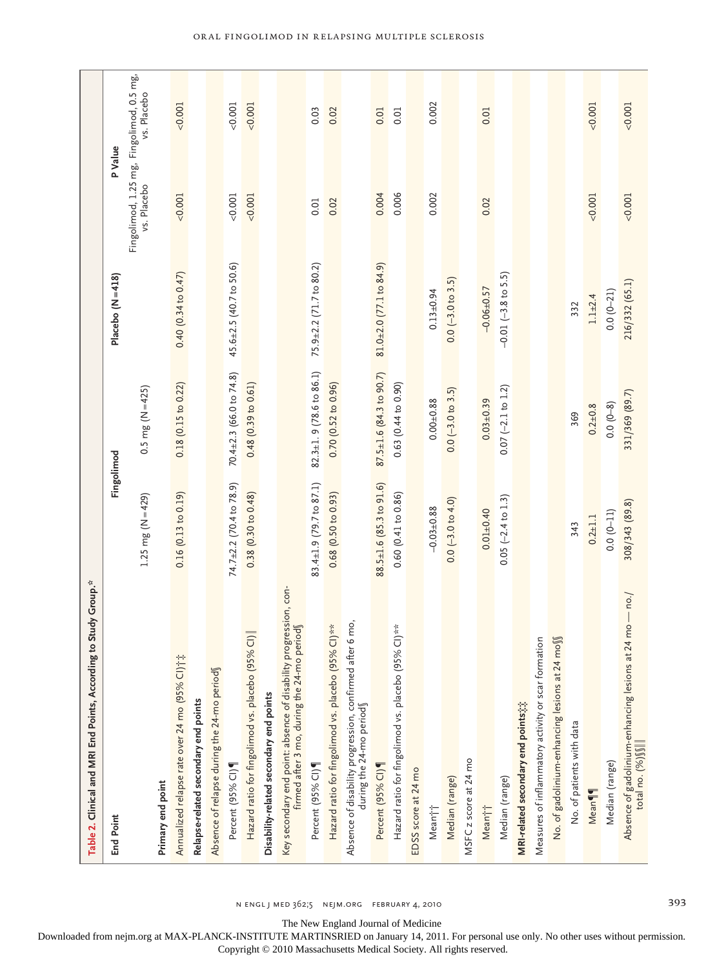| Table 2. Clinical and MRI End Points, According to Study Group. <sup>26</sup>                                  |                                  |                               |                                |                                                         |             |
|----------------------------------------------------------------------------------------------------------------|----------------------------------|-------------------------------|--------------------------------|---------------------------------------------------------|-------------|
| <b>End Point</b>                                                                                               |                                  | Fingolimod                    | Placebo $(N = 418)$            | P Value                                                 |             |
|                                                                                                                | 1.25 mg ( $N = 429$ )            | $0.5 \text{ mg}$ (N = 425)    |                                | Fingolimod, 1.25 mg, Fingolimod, 0.5 mg,<br>vs. Placebo | vs. Placebo |
| Primary end point                                                                                              |                                  |                               |                                |                                                         |             |
| Annualized relapse rate over 24 mo (95% CI) †*                                                                 | 0.16(0.13 to 0.19)               | $0.18$ (0.15 to 0.22)         | 0.40(0.34 to 0.47)             | 0.001                                                   | 0.001       |
| Relapse-related secondary end points                                                                           |                                  |                               |                                |                                                         |             |
| Absence of relapse during the 24-mo periods                                                                    |                                  |                               |                                |                                                         |             |
| Percent (95% CI)                                                                                               | $74.7 \pm 2.2$ (70.4 to 78.9)    | $70.4 \pm 2.3$ (66.0 to 74.8) | $45.6 \pm 2.5$ (40.7 to 50.6)  | 0.001                                                   | 0.001       |
| $\overline{C}$<br>Hazard ratio for fingolimod vs. placebo (95%                                                 | 0.38(0.30 to 0.48)               | 0.48(0.39 to 0.61)            |                                | < 0.001                                                 | 0.001       |
| Disability-related secondary end points                                                                        |                                  |                               |                                |                                                         |             |
| Key secondary end point: absence of disability progression, con-<br>firmed after 3 mo, during the 24-mo period |                                  |                               |                                |                                                         |             |
| Percent (95% CI)                                                                                               | $83.4 \pm 1.9$ (79.7 to $87.1$ ) | $82.3 \pm 1.9$ (78.6 to 86.1) | 75.9±2.2 (71.7 to 80.2)        | 0.01                                                    | 0.03        |
| Hazard ratio for fingolimod vs. placebo (95% CI)**                                                             | $0.68$ (0.50 to 0.93)            | 0.70(0.52 to 0.96)            |                                | 0.02                                                    | 0.02        |
| 6 mo,<br>Absence of disability progression, confirmed after<br>during the 24-mo periods                        |                                  |                               |                                |                                                         |             |
| Percent (95% CI)                                                                                               | $88.5 \pm 1.6$ (85.3 to 91.6)    | 87.5±1.6 (84.3 to 90.7)       | $81.0 \pm 2.0$ (77.1 to 84.9)  | 0.004                                                   | 0.01        |
| $\frac{1}{2}$<br>Hazard ratio for fingolimod vs. placebo (95%                                                  | 0.60(0.41 to 0.86)               | $0.63$ $(0.44$ to $0.90)$     |                                | 0.006                                                   | 0.01        |
| EDSS score at 24 mo                                                                                            |                                  |                               |                                |                                                         |             |
| Meani                                                                                                          | $-0.03 + 0.88$                   | $0.00 + 0.88$                 | $0.13 + 0.94$                  | 0.002                                                   | 0.002       |
| Median (range)                                                                                                 | $0.0 (-3.0 to 4.0)$              | $0.0 (-3.0 to 3.5)$           | $0.0 (-3.0 to 3.5)$            |                                                         |             |
| MSFC z score at 24 mo                                                                                          |                                  |                               |                                |                                                         |             |
| Mean††                                                                                                         | $0.01 + 0.40$                    | $0.03 + 0.39$                 | $-0.06 + 0.57$                 | 0.02                                                    | 0.01        |
| Median (range)                                                                                                 | $0.05 (-2.4 to 1.3)$             | $0.07$ (-2.1 to 1.2)          | $-0.01 (-3.8 \text{ to } 5.5)$ |                                                         |             |
| MRI-related secondary end points;;;                                                                            |                                  |                               |                                |                                                         |             |
| Measures of inflammatory activity or scar formation                                                            |                                  |                               |                                |                                                         |             |
| No. of gadolinium-enhancing lesions at 24 moss                                                                 |                                  |                               |                                |                                                         |             |
| No. of patients with data                                                                                      | 343                              | 369                           | 332                            |                                                         |             |
| Mean                                                                                                           | $0.2 + 1.1$                      | $0.2 + 0.8$                   | $1.1 + 2.4$                    | 0.001                                                   | 0.001       |
| Median (range)                                                                                                 | $0.0(0-11)$                      | $0.0(0-8)$                    | $0.0(0-21)$                    |                                                         |             |
| Absence of gadolinium-enhancing lesions at 24 mo — no./<br>total no. (%)∭                                      | 308/343 (89.8)                   | 331/369 (89.7)                | 216/332 (65.1)                 | 0.001                                                   | 0.001       |

n engl j med 362;5 nejm.org february 4, 2010 393

The New England Journal of Medicine

Downloaded from nejm.org at MAX-PLANCK-INSTITUTE MARTINSRIED on January 14, 2011. For personal use only. No other uses without permission.

Copyright © 2010 Massachusetts Medical Society. All rights reserved.

# Oral Fingolimod in Relapsing Multiple Sclerosis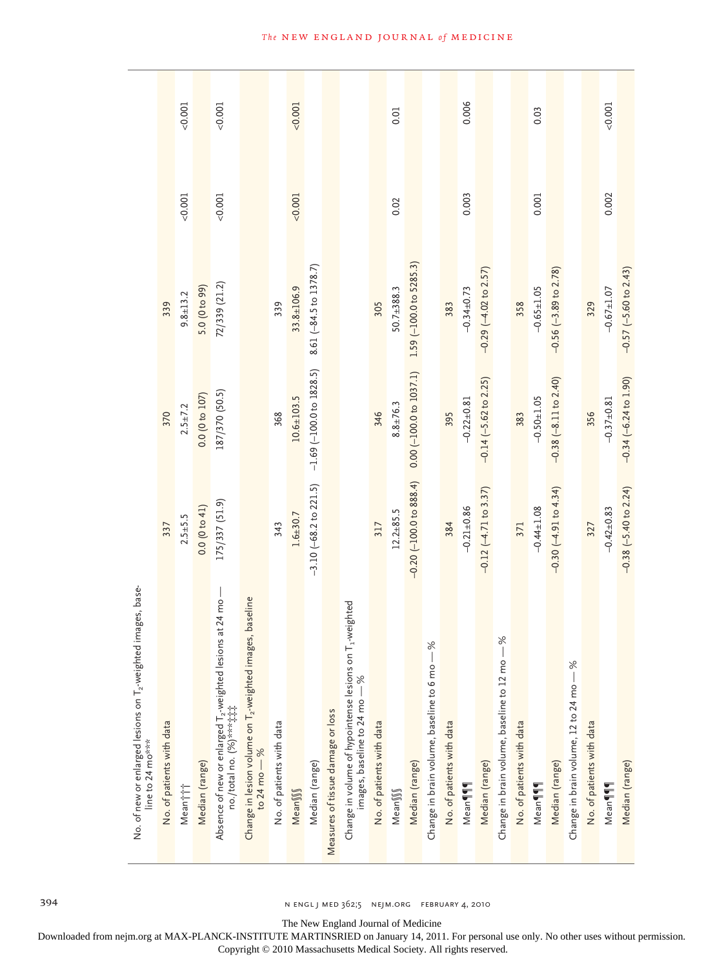| $-0.20$ $(-100.0$ to $888.4)$<br>$-3.10$ $(-68.2$ to $221.5)$<br>$-0.12 (-4.71$ to $3.37)$<br>$-0.30$ $(-4.91$ to $4.34)$<br>175/337 (51.9)<br>0.0(0 to 41)<br>$-0.21 \pm 0.86$<br>$-0.44 \pm 1.08$<br>Change in lesion volume on T <sub>2</sub> -weighted images, baseline<br>to 24 mo $-$ %<br>Absence of new or enlarged T <sub>2</sub> -weighted lesions at 24 mo<br>1-weighted<br>$\frac{6}{3}$<br>$\frac{8}{3}$<br>Change in volume of hypointense lesions on<br>Change in brain volume, baseline to 12 mo -<br>Change in brain volume, baseline to 6 mo-<br>Change in brain volume, 12 to 24 mo - % |
|------------------------------------------------------------------------------------------------------------------------------------------------------------------------------------------------------------------------------------------------------------------------------------------------------------------------------------------------------------------------------------------------------------------------------------------------------------------------------------------------------------------------------------------------------------------------------------------------------------|
|------------------------------------------------------------------------------------------------------------------------------------------------------------------------------------------------------------------------------------------------------------------------------------------------------------------------------------------------------------------------------------------------------------------------------------------------------------------------------------------------------------------------------------------------------------------------------------------------------------|

The New England Journal of Medicine

Downloaded from nejm.org at MAX-PLANCK-INSTITUTE MARTINSRIED on January 14, 2011. For personal use only. No other uses without permission.

Copyright © 2010 Massachusetts Medical Society. All rights reserved.

# **The NEW ENGLAND JOURNAL of MEDICINE**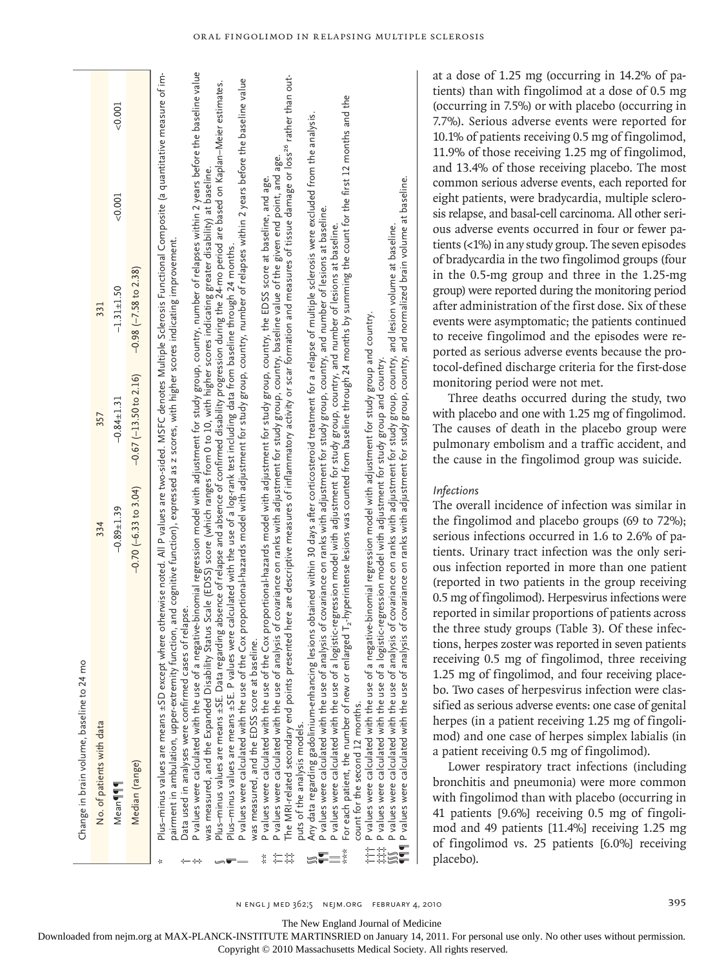| Change in brain volume, baseline to 24 mo                                                                                                                                                                                                                                                                                                                                                                                                                                                                                                                                                                                                                                                                                                                                                                                                                                                                                                                                                                                                                                                                                                                                                                                                                                                                                                                                                                                                                                                                                                                                                                                                                                                                                                                                                                                                                                                                                                                                                                                                                                                                                                                                                                                                                                                      |                        |                             |                                                                                                                                                                                                                                                                                                                                                                                                                                                                                                                                                                                                                                                                                                                                                                                                                                                                                                                                                                          |          |         |
|------------------------------------------------------------------------------------------------------------------------------------------------------------------------------------------------------------------------------------------------------------------------------------------------------------------------------------------------------------------------------------------------------------------------------------------------------------------------------------------------------------------------------------------------------------------------------------------------------------------------------------------------------------------------------------------------------------------------------------------------------------------------------------------------------------------------------------------------------------------------------------------------------------------------------------------------------------------------------------------------------------------------------------------------------------------------------------------------------------------------------------------------------------------------------------------------------------------------------------------------------------------------------------------------------------------------------------------------------------------------------------------------------------------------------------------------------------------------------------------------------------------------------------------------------------------------------------------------------------------------------------------------------------------------------------------------------------------------------------------------------------------------------------------------------------------------------------------------------------------------------------------------------------------------------------------------------------------------------------------------------------------------------------------------------------------------------------------------------------------------------------------------------------------------------------------------------------------------------------------------------------------------------------------------|------------------------|-----------------------------|--------------------------------------------------------------------------------------------------------------------------------------------------------------------------------------------------------------------------------------------------------------------------------------------------------------------------------------------------------------------------------------------------------------------------------------------------------------------------------------------------------------------------------------------------------------------------------------------------------------------------------------------------------------------------------------------------------------------------------------------------------------------------------------------------------------------------------------------------------------------------------------------------------------------------------------------------------------------------|----------|---------|
| No. of patients with data                                                                                                                                                                                                                                                                                                                                                                                                                                                                                                                                                                                                                                                                                                                                                                                                                                                                                                                                                                                                                                                                                                                                                                                                                                                                                                                                                                                                                                                                                                                                                                                                                                                                                                                                                                                                                                                                                                                                                                                                                                                                                                                                                                                                                                                                      | 334                    | 357                         | 331                                                                                                                                                                                                                                                                                                                                                                                                                                                                                                                                                                                                                                                                                                                                                                                                                                                                                                                                                                      |          |         |
| Mean¶¶                                                                                                                                                                                                                                                                                                                                                                                                                                                                                                                                                                                                                                                                                                                                                                                                                                                                                                                                                                                                                                                                                                                                                                                                                                                                                                                                                                                                                                                                                                                                                                                                                                                                                                                                                                                                                                                                                                                                                                                                                                                                                                                                                                                                                                                                                         | $-0.89 + 1.39$         | $-0.84 \pm 1.31$            | $-1.31 \pm 1.50$                                                                                                                                                                                                                                                                                                                                                                                                                                                                                                                                                                                                                                                                                                                                                                                                                                                                                                                                                         | $-0.001$ | < 0.001 |
| Median (range)                                                                                                                                                                                                                                                                                                                                                                                                                                                                                                                                                                                                                                                                                                                                                                                                                                                                                                                                                                                                                                                                                                                                                                                                                                                                                                                                                                                                                                                                                                                                                                                                                                                                                                                                                                                                                                                                                                                                                                                                                                                                                                                                                                                                                                                                                 | $-0.70(-6.33$ to 3.04) | $-0.67$ ( $-13.50$ to 2.16) | $-0.98$ $(-7.58$ to $2.38)$                                                                                                                                                                                                                                                                                                                                                                                                                                                                                                                                                                                                                                                                                                                                                                                                                                                                                                                                              |          |         |
| P values were calculated with the use of a negative-binomial regression model with adjustment for study group, country, number of relapses within 2 years before the baseline value<br>Plus-minus values are means ±SD except where otherwise noted. All P values are two-sided. MSFC denotes Multiple Sclerosis Functional Composite (a quantitative measure of im-<br>Plus-minus values are means ±SE. Data regarding absence of relapse and absence of confirmed disability progression during the 24-mo period are based on Kaplan-Meier estimates.<br>Any data regarding gadolinium-enhancing lesions obtained within 30 days after corticosteroid treatment for a relapse of multiple sclerosis were excluded from the analysis.<br>was measured, and the Expanded Disability Status Scale (EDSS) score (which ranges from 0 to 10, with higher scores indicating greater disability) at baseline.<br>P values were calculated with the use of a logistic-regression model with adjustment for study group, country, and number of lesions at baseline.<br>pairment in ambulation, upper-extremity function, and cognitive function), expressed as z scores, with higher scores indicating improvement.<br>Plus-minus values are means ±SE. P values were calculated with the use of a log-rank test including data from baseline through 24 months.<br>P values were calculated with the use of a negative-binomial regression model with adjustment for study group and country.<br>P values were calculated with the use of a logistic-regression model with adjustment for study group and country.<br>Data used in analyses were confirmed cases of relapse.<br>The MRI-related secondary end points presented<br>P values were calculated with the use of the Cox<br>was measured, and the EDSS score at baseline.<br>P values were calculated with the use of the Cox<br>P values were calculated with the use of analysis<br>P values were calculated with the use of analysis<br>For each patient, the number of new or enlarged<br>‡‡‡‡ P values were calculated with the use of a logisti<br>∭∫ P values were calculated with the use of analysis<br>¶¶¶ P values were calculated with the use of analysis<br>count for the second 12 months.<br>puts of the analysis models. |                        |                             | here are descriptive measures of inflammatory activity or scar formation and measures of tissue damage or loss <sup>26</sup> rather than out-<br>proportional-hazards model with adjustment for study group, country, number of relapses within 2 years before the baseline value<br>$T_z$ -hyperintense lesions was counted from baseline through 24 months by summing the count for the first 12 months and the<br>of covariance on ranks with adjustment for study group, country, baseline value of the given end point, and age<br>of covariance on ranks with adjustment for study group, country, and normalized brain volume at baseline.<br>proportional-hazards model with adjustment for study group, country, the EDSS score at baseline, and age.<br>of covariance on ranks with adjustment for study group, country, and number of lesions at baseline.<br>of covariance on ranks with adjustment for study group, country, and lesion volume at baseline. |          |         |

Oral Fingolimod in Relapsing Multiple Sclerosis

at a dose of 1.25 mg (occurring in 14.2% of patients) than with fingolimod at a dose of 0.5 mg (occurring in 7.5%) or with placebo (occurring in 7.7%). Serious adverse events were reported for 10.1% of patients receiving 0.5 mg of fingolimod, 11.9% of those receiving 1.25 mg of fingolimod, and 13.4% of those receiving placebo. The most common serious adverse events, each reported for eight patients, were bradycardia, multiple sclerosis relapse, and basal-cell carcinoma. All other serious adverse events occurred in four or fewer patients (<1%) in any study group. The seven episodes of bradycardia in the two fingolimod groups (four in the 0.5-mg group and three in the 1.25-mg group) were reported during the monitoring period after administration of the first dose. Six of these events were asymptomatic; the patients continued to receive fingolimod and the episodes were reported as serious adverse events because the protocol-defined discharge criteria for the first-dose monitoring period were not met.

Three deaths occurred during the study, two with placebo and one with 1.25 mg of fingolimod. The causes of death in the placebo group were pulmonary embolism and a traffic accident, and the cause in the fingolimod group was suicide.

# *Infections*

The overall incidence of infection was similar in the fingolimod and placebo groups (69 to 72%); serious infections occurred in 1.6 to 2.6% of patients. Urinary tract infection was the only serious infection reported in more than one patient (reported in two patients in the group receiving 0.5 mg of fingolimod). Herpesvirus infections were reported in similar proportions of patients across the three study groups (Table 3). Of these infections, herpes zoster was reported in seven patients receiving 0.5 mg of fingolimod, three receiving 1.25 mg of fingolimod, and four receiving placebo. Two cases of herpesvirus infection were classified as serious adverse events: one case of genital herpes (in a patient receiving 1.25 mg of fingolimod) and one case of herpes simplex labialis (in a patient receiving 0.5 mg of fingolimod).

Lower respiratory tract infections (including bronchitis and pneumonia) were more common with fingolimod than with placebo (occurring in 41 patients [9.6%] receiving 0.5 mg of fingolimod and 49 patients [11.4%] receiving 1.25 mg of fingolimod vs. 25 patients [6.0%] receiving placebo).

The New England Journal of Medicine

Downloaded from nejm.org at MAX-PLANCK-INSTITUTE MARTINSRIED on January 14, 2011. For personal use only. No other uses without permission.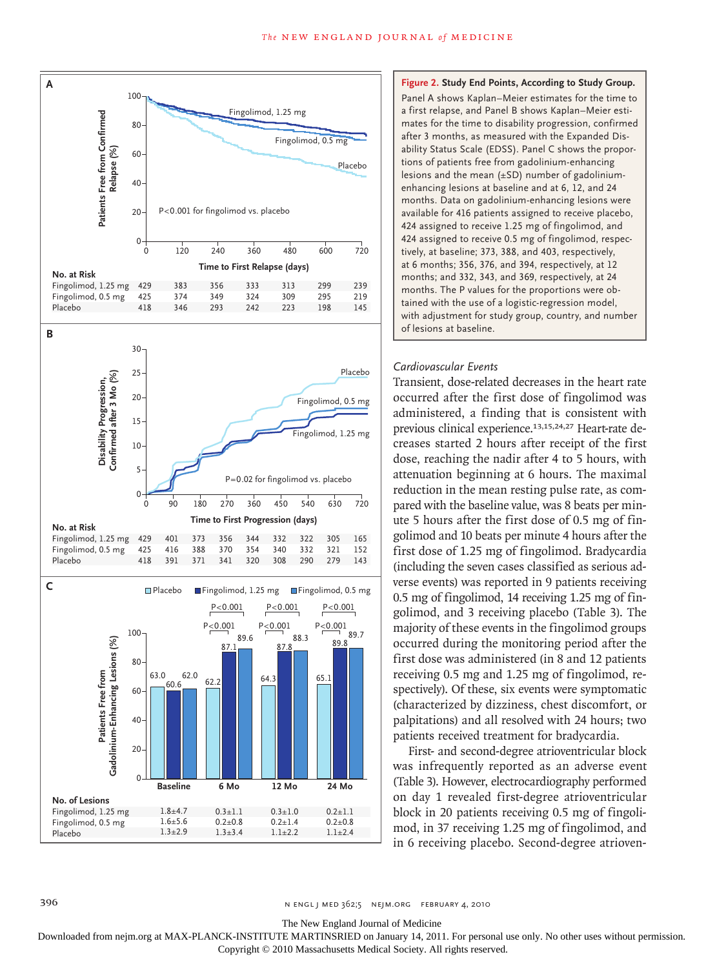

**Figure 2. Study End Points, According to Study Group.** Panel A shows Kaplan–Meier estimates for the time to a first relapse, and Panel B shows Kaplan–Meier estimates for the time to disability progression, confirmed after 3 months, as measured with the Expanded Disability Status Scale (EDSS). Panel C shows the proportions of patients free from gadolinium-enhancing lesions and the mean (±SD) number of gadoliniumenhancing lesions at baseline and at 6, 12, and 24 months. Data on gadolinium-enhancing lesions were available for 416 patients assigned to receive placebo, 424 assigned to receive 1.25 mg of fingolimod, and 424 assigned to receive 0.5 mg of fingolimod, respectively, at baseline; 373, 388, and 403, respectively, at 6 months; 356, 376, and 394, respectively, at 12 months; and 332, 343, and 369, respectively, at 24 months. The P values for the proportions were obtained with the use of a logistic-regression model, with adjustment for study group, country, and number of lesions at baseline.

#### *Cardiovascular Events*

Transient, dose-related decreases in the heart rate occurred after the first dose of fingolimod was administered, a finding that is consistent with previous clinical experience.13,15,24,27 Heart-rate decreases started 2 hours after receipt of the first dose, reaching the nadir after 4 to 5 hours, with attenuation beginning at 6 hours. The maximal reduction in the mean resting pulse rate, as compared with the baseline value, was 8 beats per minute 5 hours after the first dose of 0.5 mg of fingolimod and 10 beats per minute 4 hours after the first dose of 1.25 mg of fingolimod. Bradycardia (including the seven cases classified as serious adverse events) was reported in 9 patients receiving 0.5 mg of fingolimod, 14 receiving 1.25 mg of fingolimod, and 3 receiving placebo (Table 3). The majority of these events in the fingolimod groups occurred during the monitoring period after the first dose was administered (in 8 and 12 patients receiving 0.5 mg and 1.25 mg of fingolimod, respectively). Of these, six events were symptomatic (characterized by dizziness, chest discomfort, or palpitations) and all resolved with 24 hours; two patients received treatment for bradycardia.

First- and second-degree atrioventricular block was infrequently reported as an adverse event (Table 3). However, electrocardiography performed on day 1 revealed first-degree atrioventricular block in 20 patients receiving 0.5 mg of fingolimod, in 37 receiving 1.25 mg of fingolimod, and in 6 receiving placebo. Second-degree atrioven-

The New England Journal of Medicine

Downloaded from nejm.org at MAX-PLANCK-INSTITUTE MARTINSRIED on January 14, 2011. For personal use only. No other uses without permission.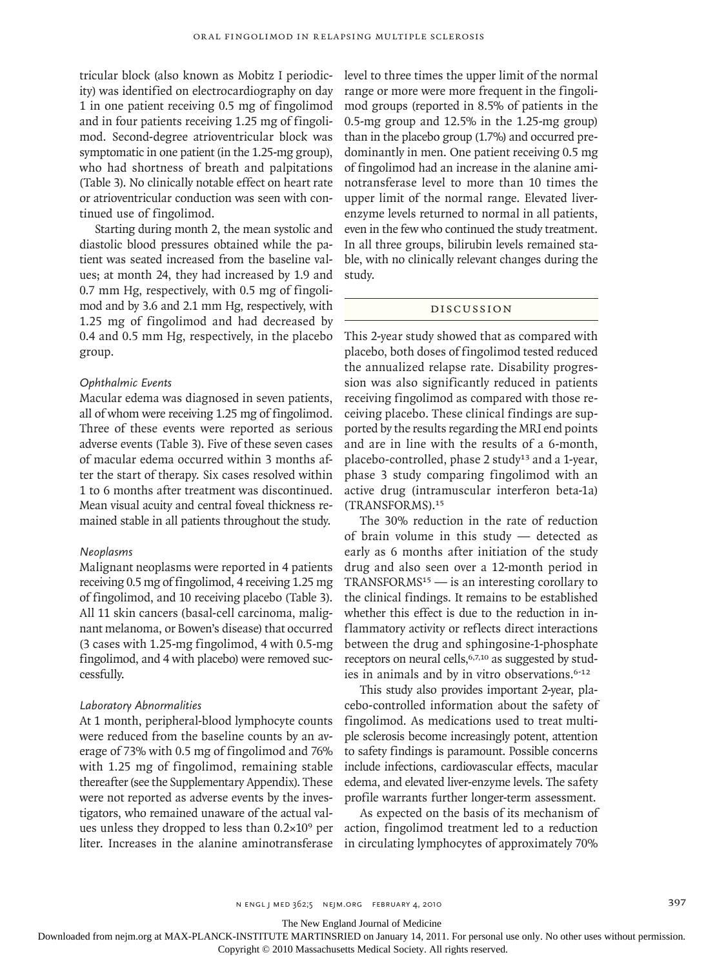tricular block (also known as Mobitz I periodicity) was identified on electrocardiography on day 1 in one patient receiving 0.5 mg of fingolimod and in four patients receiving 1.25 mg of fingolimod. Second-degree atrioventricular block was symptomatic in one patient (in the 1.25-mg group), who had shortness of breath and palpitations (Table 3). No clinically notable effect on heart rate or atrioventricular conduction was seen with continued use of fingolimod.

Starting during month 2, the mean systolic and diastolic blood pressures obtained while the patient was seated increased from the baseline values; at month 24, they had increased by 1.9 and 0.7 mm Hg, respectively, with 0.5 mg of fingolimod and by 3.6 and 2.1 mm Hg, respectively, with 1.25 mg of fingolimod and had decreased by 0.4 and 0.5 mm Hg, respectively, in the placebo group.

### *Ophthalmic Events*

Macular edema was diagnosed in seven patients, all of whom were receiving 1.25 mg of fingolimod. Three of these events were reported as serious adverse events (Table 3). Five of these seven cases of macular edema occurred within 3 months after the start of therapy. Six cases resolved within 1 to 6 months after treatment was discontinued. Mean visual acuity and central foveal thickness remained stable in all patients throughout the study.

#### *Neoplasms*

Malignant neoplasms were reported in 4 patients receiving 0.5 mg of fingolimod, 4 receiving 1.25 mg of fingolimod, and 10 receiving placebo (Table 3). All 11 skin cancers (basal-cell carcinoma, malignant melanoma, or Bowen's disease) that occurred (3 cases with 1.25-mg fingolimod, 4 with 0.5-mg fingolimod, and 4 with placebo) were removed successfully.

#### *Laboratory Abnormalities*

At 1 month, peripheral-blood lymphocyte counts were reduced from the baseline counts by an average of 73% with 0.5 mg of fingolimod and 76% with 1.25 mg of fingolimod, remaining stable thereafter (see the Supplementary Appendix). These were not reported as adverse events by the investigators, who remained unaware of the actual values unless they dropped to less than  $0.2 \times 10^9$  per liter. Increases in the alanine aminotransferase level to three times the upper limit of the normal range or more were more frequent in the fingolimod groups (reported in 8.5% of patients in the 0.5-mg group and 12.5% in the 1.25-mg group) than in the placebo group (1.7%) and occurred predominantly in men. One patient receiving 0.5 mg of fingolimod had an increase in the alanine aminotransferase level to more than 10 times the upper limit of the normal range. Elevated liverenzyme levels returned to normal in all patients, even in the few who continued the study treatment. In all three groups, bilirubin levels remained stable, with no clinically relevant changes during the study.

# Discussion

This 2-year study showed that as compared with placebo, both doses of fingolimod tested reduced the annualized relapse rate. Disability progression was also significantly reduced in patients receiving fingolimod as compared with those receiving placebo. These clinical findings are supported by the results regarding the MRI end points and are in line with the results of a 6-month, placebo-controlled, phase 2 study<sup>13</sup> and a 1-year, phase 3 study comparing fingolimod with an active drug (intramuscular interferon beta-1a) (TRANSFORMS).<sup>15</sup>

The 30% reduction in the rate of reduction of brain volume in this study — detected as early as 6 months after initiation of the study drug and also seen over a 12-month period in TRANSFORMS15 — is an interesting corollary to the clinical findings. It remains to be established whether this effect is due to the reduction in inflammatory activity or reflects direct interactions between the drug and sphingosine-1-phosphate receptors on neural cells,<sup>6,7,10</sup> as suggested by studies in animals and by in vitro observations.<sup>6-12</sup>

This study also provides important 2-year, placebo-controlled information about the safety of fingolimod. As medications used to treat multiple sclerosis become increasingly potent, attention to safety findings is paramount. Possible concerns include infections, cardiovascular effects, macular edema, and elevated liver-enzyme levels. The safety profile warrants further longer-term assessment.

As expected on the basis of its mechanism of action, fingolimod treatment led to a reduction in circulating lymphocytes of approximately 70%

The New England Journal of Medicine

Downloaded from nejm.org at MAX-PLANCK-INSTITUTE MARTINSRIED on January 14, 2011. For personal use only. No other uses without permission.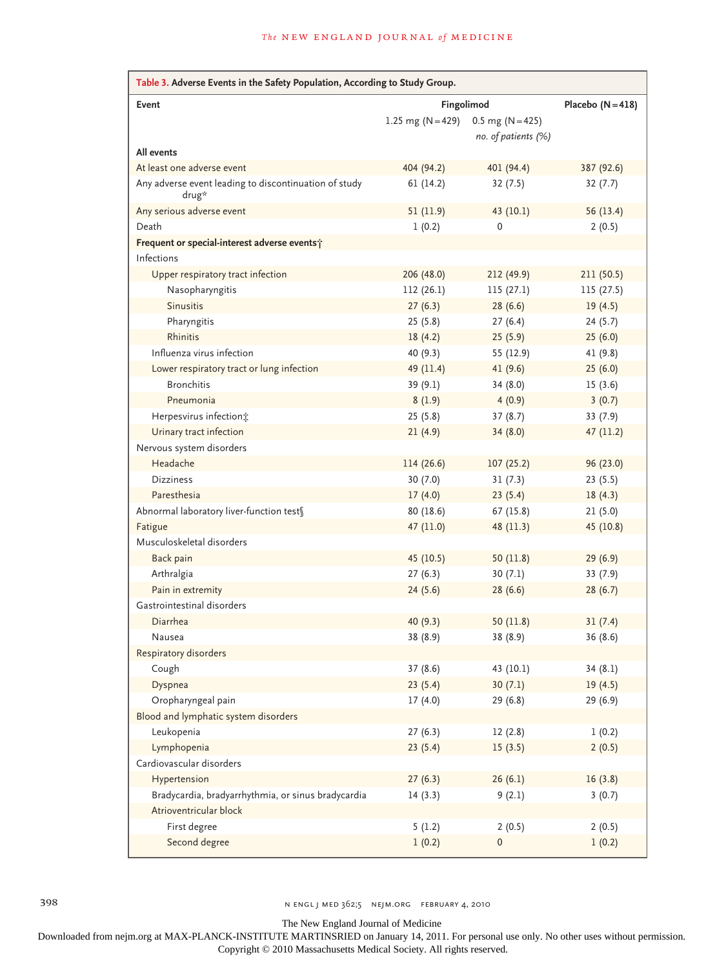| Table 3. Adverse Events in the Safety Population, According to Study Group. |                       |                     |                     |
|-----------------------------------------------------------------------------|-----------------------|---------------------|---------------------|
| <b>Event</b>                                                                |                       | Fingolimod          | Placebo $(N = 418)$ |
|                                                                             | 1.25 mg ( $N = 429$ ) | $0.5$ mg (N = 425)  |                     |
|                                                                             |                       | no. of patients (%) |                     |
| All events                                                                  |                       |                     |                     |
| At least one adverse event                                                  | 404 (94.2)            | 401 (94.4)          | 387 (92.6)          |
| Any adverse event leading to discontinuation of study<br>drug*              | 61(14.2)              | 32(7.5)             | 32(7.7)             |
| Any serious adverse event                                                   | 51 (11.9)             | 43 (10.1)           | 56 (13.4)           |
| Death                                                                       | 1(0.2)                | 0                   | 2(0.5)              |
| Frequent or special-interest adverse events;                                |                       |                     |                     |
| Infections                                                                  |                       |                     |                     |
| Upper respiratory tract infection                                           | 206 (48.0)            | 212 (49.9)          | 211 (50.5)          |
| Nasopharyngitis                                                             | 112(26.1)             | 115(27.1)           | 115 (27.5)          |
| <b>Sinusitis</b>                                                            | 27(6.3)               | 28(6.6)             | 19(4.5)             |
| Pharyngitis                                                                 | 25(5.8)               | 27(6.4)             | 24(5.7)             |
| Rhinitis                                                                    | 18(4.2)               | 25(5.9)             | 25(6.0)             |
| Influenza virus infection                                                   | 40 (9.3)              | 55 (12.9)           | 41 (9.8)            |
| Lower respiratory tract or lung infection                                   | 49 (11.4)             | 41(9.6)             | 25(6.0)             |
| <b>Bronchitis</b>                                                           | 39 (9.1)              | 34(8.0)             | 15(3.6)             |
| Pneumonia                                                                   | 8(1.9)                | 4(0.9)              | 3(0.7)              |
| Herpesvirus infection;                                                      | 25(5.8)               | 37(8.7)             | 33 (7.9)            |
| Urinary tract infection                                                     | 21(4.9)               | 34(8.0)             | 47(11.2)            |
| Nervous system disorders                                                    |                       |                     |                     |
| Headache                                                                    | 114 (26.6)            | 107(25.2)           | 96 (23.0)           |
| <b>Dizziness</b>                                                            | 30(7.0)               | 31(7.3)             | 23(5.5)             |
| Paresthesia                                                                 | 17(4.0)               | 23(5.4)             | 18(4.3)             |
| Abnormal laboratory liver-function test§                                    | 80 (18.6)             | 67 (15.8)           | 21(5.0)             |
| Fatigue                                                                     | 47 (11.0)             | 48 (11.3)           | 45 (10.8)           |
| Musculoskeletal disorders                                                   |                       |                     |                     |
| Back pain                                                                   | 45 (10.5)             | 50(11.8)            | 29(6.9)             |
| Arthralgia                                                                  | 27(6.3)               | 30(7.1)             | 33(7.9)             |
| Pain in extremity                                                           | 24(5.6)               | 28(6.6)             | 28(6.7)             |
| Gastrointestinal disorders                                                  |                       |                     |                     |
| Diarrhea                                                                    | 40 (9.3)              | 50(11.8)            | 31(7.4)             |
| Nausea                                                                      | 38 (8.9)              | 38 (8.9)            | 36(8.6)             |
| Respiratory disorders                                                       |                       |                     |                     |
| Cough                                                                       | 37(8.6)               | 43 (10.1)           | 34(8.1)             |
| Dyspnea                                                                     | 23(5.4)               | 30(7.1)             | 19(4.5)             |
| Oropharyngeal pain                                                          | 17(4.0)               | 29(6.8)             | 29 (6.9)            |
| Blood and lymphatic system disorders                                        |                       |                     |                     |
| Leukopenia                                                                  | 27(6.3)               | 12(2.8)             | 1(0.2)              |
| Lymphopenia                                                                 | 23(5.4)               | 15(3.5)             | 2(0.5)              |
| Cardiovascular disorders                                                    |                       |                     |                     |
| Hypertension                                                                | 27(6.3)               | 26(6.1)             | 16(3.8)             |
| Bradycardia, bradyarrhythmia, or sinus bradycardia                          | 14(3.3)               | 9(2.1)              | 3(0.7)              |
| Atrioventricular block                                                      |                       |                     |                     |
| First degree                                                                | 5(1.2)                | 2(0.5)              | 2(0.5)              |
| Second degree                                                               | 1(0.2)                | 0                   | 1(0.2)              |

398 n engl j med 362;5 nejm.org february 4, 2010

The New England Journal of Medicine

Downloaded from nejm.org at MAX-PLANCK-INSTITUTE MARTINSRIED on January 14, 2011. For personal use only. No other uses without permission.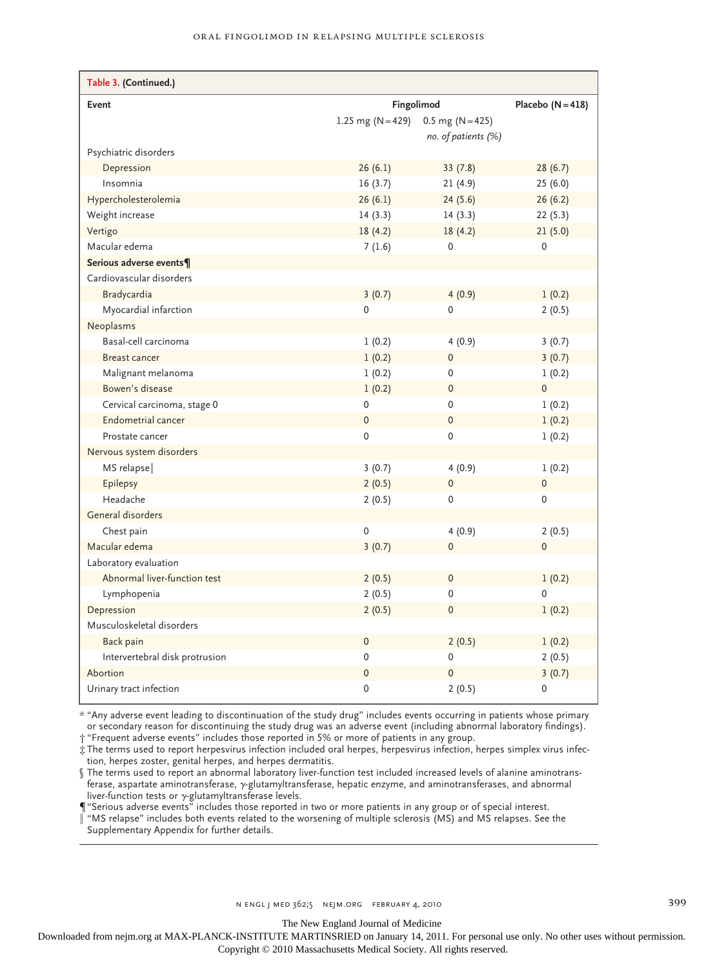| Table 3. (Continued.)          |                       |                     |                     |
|--------------------------------|-----------------------|---------------------|---------------------|
| Event                          |                       | Fingolimod          | Placebo $(N = 418)$ |
|                                | 1.25 mg ( $N = 429$ ) | $0.5$ mg (N = 425)  |                     |
|                                |                       | no. of patients (%) |                     |
| Psychiatric disorders          |                       |                     |                     |
| Depression                     | 26(6.1)               | 33(7.8)             | 28(6.7)             |
| Insomnia                       | 16(3.7)               | 21(4.9)             | 25(6.0)             |
| Hypercholesterolemia           | 26(6.1)               | 24(5.6)             | 26(6.2)             |
| Weight increase                | 14(3.3)               | 14(3.3)             | 22(5.3)             |
| Vertigo                        | 18(4.2)               | 18(4.2)             | 21(5.0)             |
| Macular edema                  | 7(1.6)                | $\mathbf 0$         | 0                   |
| Serious adverse events¶        |                       |                     |                     |
| Cardiovascular disorders       |                       |                     |                     |
| Bradycardia                    | 3(0.7)                | 4(0.9)              | 1(0.2)              |
| Myocardial infarction          | $\mathbf 0$           | 0                   | 2(0.5)              |
| Neoplasms                      |                       |                     |                     |
| Basal-cell carcinoma           | 1(0.2)                | 4(0.9)              | 3(0.7)              |
| <b>Breast cancer</b>           | 1(0.2)                | $\mathbf 0$         | 3(0.7)              |
| Malignant melanoma             | 1(0.2)                | 0                   | 1(0.2)              |
| Bowen's disease                | 1(0.2)                | $\mathsf 0$         | $\overline{0}$      |
| Cervical carcinoma, stage 0    | 0                     | $\mathbf 0$         | 1(0.2)              |
| Endometrial cancer             | $\mathbf 0$           | 0                   | 1(0.2)              |
| Prostate cancer                | 0                     | 0                   | 1(0.2)              |
| Nervous system disorders       |                       |                     |                     |
| MS relapse                     | 3(0.7)                | 4(0.9)              | 1(0.2)              |
| Epilepsy                       | 2(0.5)                | $\pmb{0}$           | $\mathsf{O}\xspace$ |
| Headache                       | 2(0.5)                | 0                   | 0                   |
| General disorders              |                       |                     |                     |
| Chest pain                     | $\mathbf 0$           | 4(0.9)              | 2(0.5)              |
| Macular edema                  | 3(0.7)                | $\mathbf 0$         | $\mathsf{O}\xspace$ |
| Laboratory evaluation          |                       |                     |                     |
| Abnormal liver-function test   | 2(0.5)                | 0                   | 1(0.2)              |
| Lymphopenia                    | 2(0.5)                | 0                   | 0                   |
| Depression                     | 2(0.5)                | 0                   | 1(0.2)              |
| Musculoskeletal disorders      |                       |                     |                     |
| Back pain                      | $\mathbf 0$           | 2(0.5)              | 1(0.2)              |
| Intervertebral disk protrusion | 0                     | 0                   | 2(0.5)              |
| Abortion                       | $\mathbf 0$           | $\mathbf 0$         | 3(0.7)              |
| Urinary tract infection        | 0                     | 2(0.5)              | 0                   |

\* "Any adverse event leading to discontinuation of the study drug" includes events occurring in patients whose primary or secondary reason for discontinuing the study drug was an adverse event (including abnormal laboratory findings). † "Frequent adverse events" includes those reported in 5% or more of patients in any group.

‡ The terms used to report herpesvirus infection included oral herpes, herpesvirus infection, herpes simplex virus infection, herpes zoster, genital herpes, and herpes dermatitis.

§ The terms used to report an abnormal laboratory liver-function test included increased levels of alanine aminotransferase, aspartate aminotransferase, γ-glutamyltransferase, hepatic enzyme, and aminotransferases, and abnormal liver-function tests or γ-glutamyltransferase levels.

 $\P$  "Serious adverse events" includes those reported in two or more patients in any group or of special interest.

‖ "MS relapse" includes both events related to the worsening of multiple sclerosis (MS) and MS relapses. See the Supplementary Appendix for further details.

n engl j med 362;5 nejm.org february 4, 2010 399

The New England Journal of Medicine

Downloaded from nejm.org at MAX-PLANCK-INSTITUTE MARTINSRIED on January 14, 2011. For personal use only. No other uses without permission. Copyright © 2010 Massachusetts Medical Society. All rights reserved.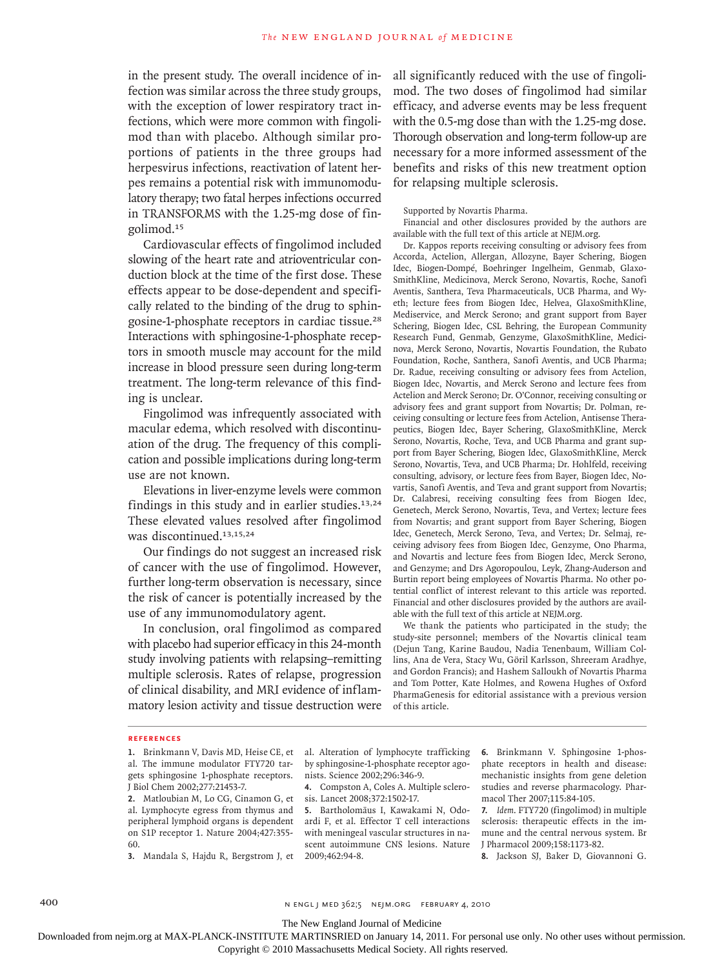in the present study. The overall incidence of infection was similar across the three study groups, with the exception of lower respiratory tract infections, which were more common with fingolimod than with placebo. Although similar proportions of patients in the three groups had herpesvirus infections, reactivation of latent herpes remains a potential risk with immunomodulatory therapy; two fatal herpes infections occurred in TRANSFORMS with the 1.25-mg dose of fingolimod.<sup>15</sup>

Cardiovascular effects of fingolimod included slowing of the heart rate and atrioventricular conduction block at the time of the first dose. These effects appear to be dose-dependent and specifically related to the binding of the drug to sphingosine-1-phosphate receptors in cardiac tissue.<sup>28</sup> Interactions with sphingosine-1-phosphate receptors in smooth muscle may account for the mild increase in blood pressure seen during long-term treatment. The long-term relevance of this finding is unclear.

Fingolimod was infrequently associated with macular edema, which resolved with discontinuation of the drug. The frequency of this complication and possible implications during long-term use are not known.

Elevations in liver-enzyme levels were common findings in this study and in earlier studies.13,24 These elevated values resolved after fingolimod was discontinued.<sup>13,15,24</sup>

Our findings do not suggest an increased risk of cancer with the use of fingolimod. However, further long-term observation is necessary, since the risk of cancer is potentially increased by the use of any immunomodulatory agent.

In conclusion, oral fingolimod as compared with placebo had superior efficacy in this 24-month study involving patients with relapsing–remitting multiple sclerosis. Rates of relapse, progression of clinical disability, and MRI evidence of inflammatory lesion activity and tissue destruction were all significantly reduced with the use of fingolimod. The two doses of fingolimod had similar efficacy, and adverse events may be less frequent with the 0.5-mg dose than with the 1.25-mg dose. Thorough observation and long-term follow-up are necessary for a more informed assessment of the benefits and risks of this new treatment option for relapsing multiple sclerosis.

#### Supported by Novartis Pharma.

Financial and other disclosures provided by the authors are available with the full text of this article at NEJM.org.

Dr. Kappos reports receiving consulting or advisory fees from Accorda, Actelion, Allergan, Allozyne, Bayer Schering, Biogen Idec, Biogen-Dompé, Boehringer Ingelheim, Genmab, Glaxo-SmithKline, Medicinova, Merck Serono, Novartis, Roche, Sanofi Aventis, Santhera, Teva Pharmaceuticals, UCB Pharma, and Wyeth; lecture fees from Biogen Idec, Helvea, GlaxoSmithKline, Mediservice, and Merck Serono; and grant support from Bayer Schering, Biogen Idec, CSL Behring, the European Community Research Fund, Genmab, Genzyme, GlaxoSmithKline, Medicinova, Merck Serono, Novartis, Novartis Foundation, the Rubato Foundation, Roche, Santhera, Sanofi Aventis, and UCB Pharma; Dr. Radue, receiving consulting or advisory fees from Actelion, Biogen Idec, Novartis, and Merck Serono and lecture fees from Actelion and Merck Serono; Dr. O'Connor, receiving consulting or advisory fees and grant support from Novartis; Dr. Polman, receiving consulting or lecture fees from Actelion, Antisense Therapeutics, Biogen Idec, Bayer Schering, GlaxoSmithKline, Merck Serono, Novartis, Roche, Teva, and UCB Pharma and grant support from Bayer Schering, Biogen Idec, GlaxoSmithKline, Merck Serono, Novartis, Teva, and UCB Pharma; Dr. Hohlfeld, receiving consulting, advisory, or lecture fees from Bayer, Biogen Idec, Novartis, Sanofi Aventis, and Teva and grant support from Novartis; Dr. Calabresi, receiving consulting fees from Biogen Idec, Genetech, Merck Serono, Novartis, Teva, and Vertex; lecture fees from Novartis; and grant support from Bayer Schering, Biogen Idec, Genetech, Merck Serono, Teva, and Vertex; Dr. Selmaj, receiving advisory fees from Biogen Idec, Genzyme, Ono Pharma, and Novartis and lecture fees from Biogen Idec, Merck Serono, and Genzyme; and Drs Agoropoulou, Leyk, Zhang-Auderson and Burtin report being employees of Novartis Pharma. No other potential conflict of interest relevant to this article was reported. Financial and other disclosures provided by the authors are available with the full text of this article at NEJM.org.

We thank the patients who participated in the study; the study-site personnel; members of the Novartis clinical team (Dejun Tang, Karine Baudou, Nadia Tenenbaum, William Collins, Ana de Vera, Stacy Wu, Göril Karlsson, Shreeram Aradhye, and Gordon Francis); and Hashem Salloukh of Novartis Pharma and Tom Potter, Kate Holmes, and Rowena Hughes of Oxford PharmaGenesis for editorial assistance with a previous version of this article.

#### **References**

**1.** Brinkmann V, Davis MD, Heise CE, et al. The immune modulator FTY720 targets sphingosine 1-phosphate receptors. J Biol Chem 2002;277:21453-7.

**2.** Matloubian M, Lo CG, Cinamon G, et al. Lymphocyte egress from thymus and peripheral lymphoid organs is dependent on S1P receptor 1. Nature 2004;427:355- 60.

**3.** Mandala S, Hajdu R, Bergstrom J, et

al. Alteration of lymphocyte trafficking by sphingosine-1-phosphate receptor agonists. Science 2002;296:346-9.

**4.** Compston A, Coles A. Multiple sclerosis. Lancet 2008;372:1502-17.

**5.** Bartholomäus I, Kawakami N, Odoardi F, et al. Effector T cell interactions with meningeal vascular structures in nascent autoimmune CNS lesions. Nature 2009;462:94-8.

**6.** Brinkmann V. Sphingosine 1-phosphate receptors in health and disease: mechanistic insights from gene deletion studies and reverse pharmacology. Pharmacol Ther 2007;115:84-105.

**7.** *Idem*. FTY720 (fingolimod) in multiple sclerosis: therapeutic effects in the immune and the central nervous system. Br J Pharmacol 2009;158:1173-82.

**8.** Jackson SJ, Baker D, Giovannoni G.

400 **n engl j med 362;5 nejm.org FEBRUARY 4, 2010** 

The New England Journal of Medicine

Downloaded from nejm.org at MAX-PLANCK-INSTITUTE MARTINSRIED on January 14, 2011. For personal use only. No other uses without permission.